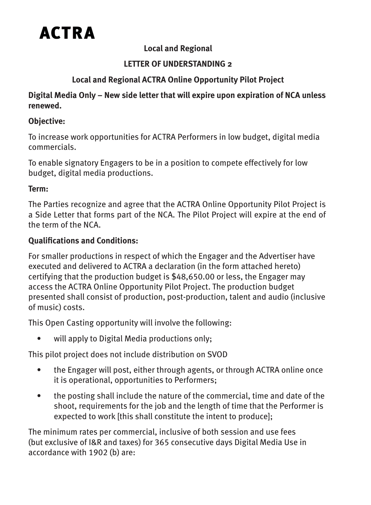

# **Local and Regional**

# **LETTER OF UNDERSTANDING 2**

# **Local and Regional ACTRA Online Opportunity Pilot Project**

#### **Digital Media Only – New side letter that will expire upon expiration of NCA unless renewed.**

## **Objective:**

To increase work opportunities for ACTRA Performers in low budget, digital media commercials.

To enable signatory Engagers to be in a position to compete effectively for low budget, digital media productions.

#### **Term:**

The Parties recognize and agree that the ACTRA Online Opportunity Pilot Project is a Side Letter that forms part of the NCA. The Pilot Project will expire at the end of the term of the NCA.

# **Qualifications and Conditions:**

For smaller productions in respect of which the Engager and the Advertiser have executed and delivered to ACTRA a declaration (in the form attached hereto) certifying that the production budget is \$48,650.00 or less, the Engager may access the ACTRA Online Opportunity Pilot Project. The production budget presented shall consist of production, post-production, talent and audio (inclusive of music) costs.

This Open Casting opportunity will involve the following:

• will apply to Digital Media productions only;

This pilot project does not include distribution on SVOD

- the Engager will post, either through agents, or through ACTRA online once it is operational, opportunities to Performers;
- the posting shall include the nature of the commercial, time and date of the shoot, requirements for the job and the length of time that the Performer is expected to work [this shall constitute the intent to produce];

The minimum rates per commercial, inclusive of both session and use fees (but exclusive of I&R and taxes) for 365 consecutive days Digital Media Use in accordance with 1902 (b) are: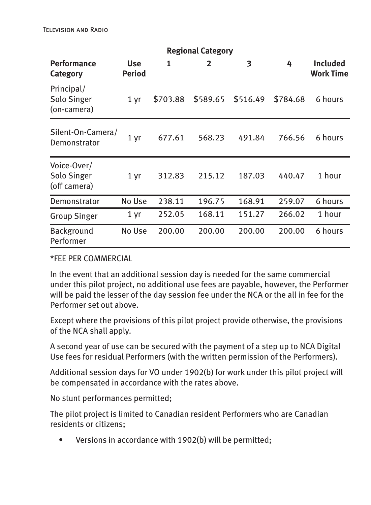Television and Radio

| <b>Regional Category</b>                   |                      |          |              |          |          |                                     |
|--------------------------------------------|----------------------|----------|--------------|----------|----------|-------------------------------------|
| <b>Performance</b><br>Category             | <b>Use</b><br>Period | 1        | $\mathbf{2}$ | 3        | 4        | <b>Included</b><br><b>Work Time</b> |
| Principal/<br>Solo Singer<br>(on-camera)   | 1 yr                 | \$703.88 | \$589.65     | \$516.49 | \$784.68 | 6 hours                             |
| Silent-On-Camera/<br>Demonstrator          | 1 yr                 | 677.61   | 568.23       | 491.84   | 766.56   | 6 hours                             |
| Voice-Over/<br>Solo Singer<br>(off camera) | 1 yr                 | 312.83   | 215.12       | 187.03   | 440.47   | 1 hour                              |
| Demonstrator                               | No Use               | 238.11   | 196.75       | 168.91   | 259.07   | 6 hours                             |
| <b>Group Singer</b>                        | 1 yr                 | 252.05   | 168.11       | 151.27   | 266.02   | 1 hour                              |
| <b>Background</b><br>Performer             | No Use               | 200.00   | 200.00       | 200.00   | 200.00   | 6 hours                             |

\*FEE PER COMMERCIAL

In the event that an additional session day is needed for the same commercial under this pilot project, no additional use fees are payable, however, the Performer will be paid the lesser of the day session fee under the NCA or the all in fee for the Performer set out above.

Except where the provisions of this pilot project provide otherwise, the provisions of the NCA shall apply.

A second year of use can be secured with the payment of a step up to NCA Digital Use fees for residual Performers (with the written permission of the Performers).

Additional session days for VO under 1902(b) for work under this pilot project will be compensated in accordance with the rates above.

No stunt performances permitted;

The pilot project is limited to Canadian resident Performers who are Canadian residents or citizens;

• Versions in accordance with 1902(b) will be permitted;